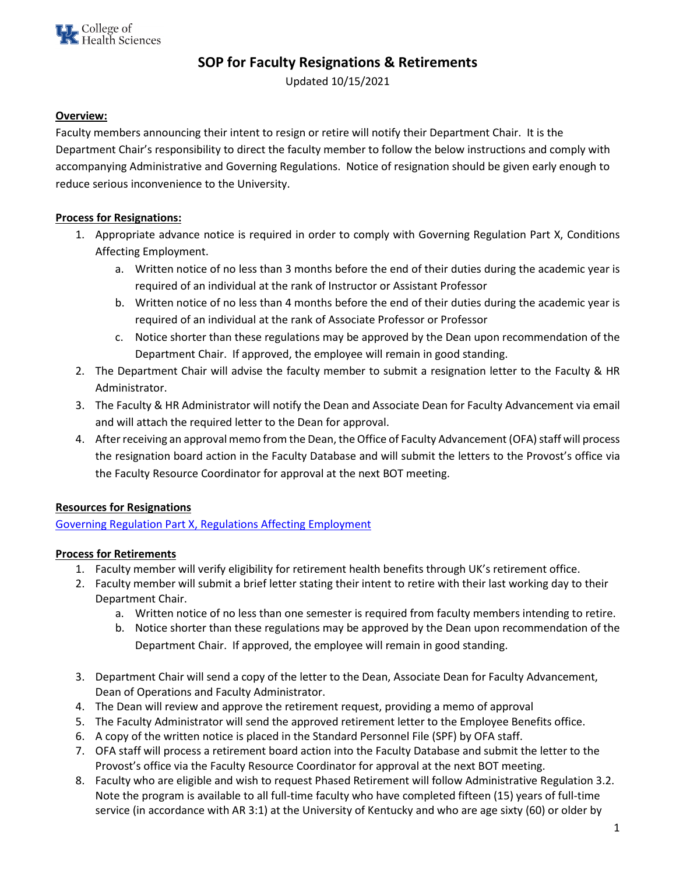

# **SOP for Faculty Resignations & Retirements**

Updated 10/15/2021

#### **Overview:**

Faculty members announcing their intent to resign or retire will notify their Department Chair. It is the Department Chair's responsibility to direct the faculty member to follow the below instructions and comply with accompanying Administrative and Governing Regulations. Notice of resignation should be given early enough to reduce serious inconvenience to the University.

#### **Process for Resignations:**

- 1. Appropriate advance notice is required in order to comply with Governing Regulation Part X, Conditions Affecting Employment.
	- a. Written notice of no less than 3 months before the end of their duties during the academic year is required of an individual at the rank of Instructor or Assistant Professor
	- b. Written notice of no less than 4 months before the end of their duties during the academic year is required of an individual at the rank of Associate Professor or Professor
	- c. Notice shorter than these regulations may be approved by the Dean upon recommendation of the Department Chair. If approved, the employee will remain in good standing.
- 2. The Department Chair will advise the faculty member to submit a resignation letter to the Faculty & HR Administrator.
- 3. The Faculty & HR Administrator will notify the Dean and Associate Dean for Faculty Advancement via email and will attach the required letter to the Dean for approval.
- 4. After receiving an approval memo from the Dean, the Office of Faculty Advancement (OFA) staff will process the resignation board action in the Faculty Database and will submit the letters to the Provost's office via the Faculty Resource Coordinator for approval at the next BOT meeting.

### **Resources for Resignations**

[Governing Regulation Part X, Regulations Affecting Employment](http://www.uky.edu/regs/Administrative/gr10.htm)

### **Process for Retirements**

- 1. Faculty member will verify eligibility for retirement health benefits through UK's retirement office.
- 2. Faculty member will submit a brief letter stating their intent to retire with their last working day to their Department Chair.
	- a. Written notice of no less than one semester is required from faculty members intending to retire.
	- b. Notice shorter than these regulations may be approved by the Dean upon recommendation of the Department Chair. If approved, the employee will remain in good standing.
- 3. Department Chair will send a copy of the letter to the Dean, Associate Dean for Faculty Advancement, Dean of Operations and Faculty Administrator.
- 4. The Dean will review and approve the retirement request, providing a memo of approval
- 5. The Faculty Administrator will send the approved retirement letter to the Employee Benefits office.
- 6. A copy of the written notice is placed in the Standard Personnel File (SPF) by OFA staff.
- 7. OFA staff will process a retirement board action into the Faculty Database and submit the letter to the Provost's office via the Faculty Resource Coordinator for approval at the next BOT meeting.
- 8. Faculty who are eligible and wish to request Phased Retirement will follow Administrative Regulation 3.2. Note the program is available to all full-time faculty who have completed fifteen (15) years of full-time service (in accordance with AR 3:1) at the University of Kentucky and who are age sixty (60) or older by